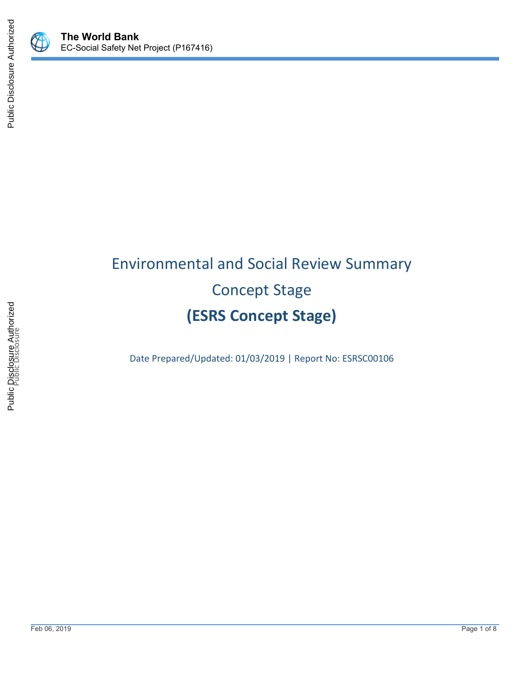

 $\mathbb Q$ 



# Environmental and Social Review Summary Concept Stage **(ESRS Concept Stage)**

Date Prepared/Updated: 01/03/2019 | Report No: ESRSC00106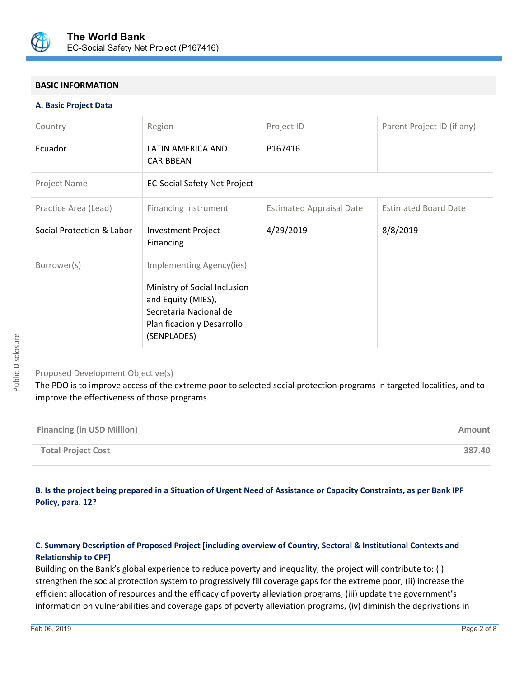

#### **BASIC INFORMATION**

#### **A. Basic Project Data**

| Country                                           | Region                                                                                                                                                | Project ID                                   | Parent Project ID (if any)              |
|---------------------------------------------------|-------------------------------------------------------------------------------------------------------------------------------------------------------|----------------------------------------------|-----------------------------------------|
| Ecuador                                           | LATIN AMERICA AND<br>CARIBBEAN                                                                                                                        | P167416                                      |                                         |
| Project Name                                      | <b>EC-Social Safety Net Project</b>                                                                                                                   |                                              |                                         |
| Practice Area (Lead)<br>Social Protection & Labor | <b>Financing Instrument</b><br><b>Investment Project</b><br>Financing                                                                                 | <b>Estimated Appraisal Date</b><br>4/29/2019 | <b>Estimated Board Date</b><br>8/8/2019 |
| Borrower(s)                                       | Implementing Agency(ies)<br>Ministry of Social Inclusion<br>and Equity (MIES),<br>Secretaria Nacional de<br>Planificacion y Desarrollo<br>(SENPLADES) |                                              |                                         |

#### Proposed Development Objective(s)

The PDO is to improve access of the extreme poor to selected social protection programs in targeted localities, and to improve the effectiveness of those programs.

| <b>Financing (in USD Million)</b> | Amount |
|-----------------------------------|--------|
| <b>Total Project Cost</b>         | 387.40 |

#### **B. Is the project being prepared in a Situation of Urgent Need of Assistance or Capacity Constraints, as per Bank IPF Policy, para. 12?**

#### **C. Summary Description of Proposed Project [including overview of Country, Sectoral & Institutional Contexts and Relationship to CPF]**

Building on the Bank's global experience to reduce poverty and inequality, the project will contribute to: (i) strengthen the social protection system to progressively fill coverage gaps for the extreme poor, (ii) increase the efficient allocation of resources and the efficacy of poverty alleviation programs, (iii) update the government's information on vulnerabilities and coverage gaps of poverty alleviation programs, (iv) diminish the deprivations in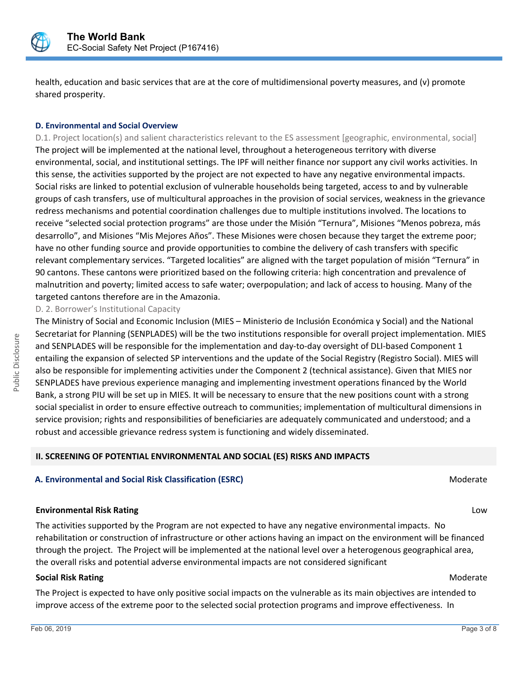

health, education and basic services that are at the core of multidimensional poverty measures, and (v) promote shared prosperity.

#### **D. Environmental and Social Overview**

D.1. Project location(s) and salient characteristics relevant to the ES assessment [geographic, environmental, social] The project will be implemented at the national level, throughout a heterogeneous territory with diverse environmental, social, and institutional settings. The IPF will neither finance nor support any civil works activities. In this sense, the activities supported by the project are not expected to have any negative environmental impacts. Social risks are linked to potential exclusion of vulnerable households being targeted, access to and by vulnerable groups of cash transfers, use of multicultural approaches in the provision of social services, weakness in the grievance redress mechanisms and potential coordination challenges due to multiple institutions involved. The locations to receive "selected social protection programs" are those under the Misión "Ternura", Misiones "Menos pobreza, más desarrollo", and Misiones "Mis Mejores Años". These Misiones were chosen because they target the extreme poor; have no other funding source and provide opportunities to combine the delivery of cash transfers with specific relevant complementary services. "Targeted localities" are aligned with the target population of misión "Ternura" in 90 cantons. These cantons were prioritized based on the following criteria: high concentration and prevalence of malnutrition and poverty; limited access to safe water; overpopulation; and lack of access to housing. Many of the targeted cantons therefore are in the Amazonia.

D. 2. Borrower's Institutional Capacity

The Ministry of Social and Economic Inclusion (MIES – Ministerio de Inclusión Económica y Social) and the National Secretariat for Planning (SENPLADES) will be the two institutions responsible for overall project implementation. MIES and SENPLADES will be responsible for the implementation and day-to-day oversight of DLI-based Component 1 entailing the expansion of selected SP interventions and the update of the Social Registry (Registro Social). MIES will also be responsible for implementing activities under the Component 2 (technical assistance). Given that MIES nor SENPLADES have previous experience managing and implementing investment operations financed by the World Bank, a strong PIU will be set up in MIES. It will be necessary to ensure that the new positions count with a strong social specialist in order to ensure effective outreach to communities; implementation of multicultural dimensions in service provision; rights and responsibilities of beneficiaries are adequately communicated and understood; and a robust and accessible grievance redress system is functioning and widely disseminated.

### **II. SCREENING OF POTENTIAL ENVIRONMENTAL AND SOCIAL (ES) RISKS AND IMPACTS**

#### **A. Environmental and Social Risk Classification (ESRC) Moderate Social Analysis of Algebra** Moderate Moderate

#### **Environmental Risk Rating** Low

The activities supported by the Program are not expected to have any negative environmental impacts. No rehabilitation or construction of infrastructure or other actions having an impact on the environment will be financed through the project. The Project will be implemented at the national level over a heterogenous geographical area, the overall risks and potential adverse environmental impacts are not considered significant

#### **Social Risk Rating Moderate Social Risk Rating Moderate**  $M$

The Project is expected to have only positive social impacts on the vulnerable as its main objectives are intended to improve access of the extreme poor to the selected social protection programs and improve effectiveness. In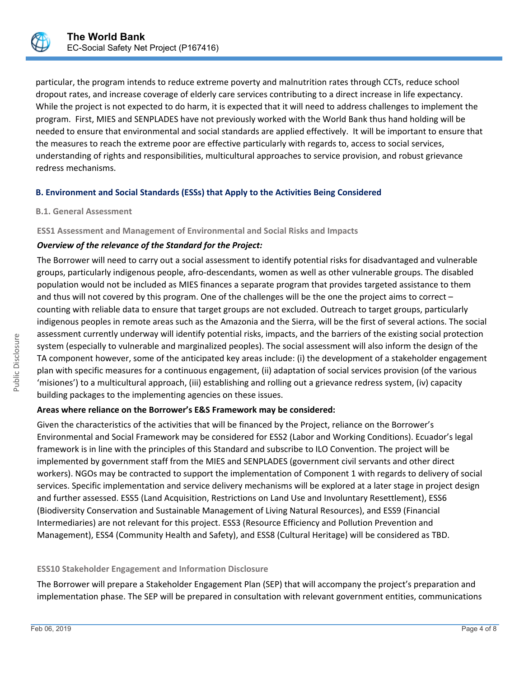

particular, the program intends to reduce extreme poverty and malnutrition rates through CCTs, reduce school dropout rates, and increase coverage of elderly care services contributing to a direct increase in life expectancy. While the project is not expected to do harm, it is expected that it will need to address challenges to implement the program. First, MIES and SENPLADES have not previously worked with the World Bank thus hand holding will be needed to ensure that environmental and social standards are applied effectively. It will be important to ensure that the measures to reach the extreme poor are effective particularly with regards to, access to social services, understanding of rights and responsibilities, multicultural approaches to service provision, and robust grievance redress mechanisms.

#### **B. Environment and Social Standards (ESSs) that Apply to the Activities Being Considered**

#### **B.1. General Assessment**

**ESS1 Assessment and Management of Environmental and Social Risks and Impacts**

#### *Overview of the relevance of the Standard for the Project:*

The Borrower will need to carry out a social assessment to identify potential risks for disadvantaged and vulnerable groups, particularly indigenous people, afro-descendants, women as well as other vulnerable groups. The disabled population would not be included as MIES finances a separate program that provides targeted assistance to them and thus will not covered by this program. One of the challenges will be the one the project aims to correct – counting with reliable data to ensure that target groups are not excluded. Outreach to target groups, particularly indigenous peoples in remote areas such as the Amazonia and the Sierra, will be the first of several actions. The social assessment currently underway will identify potential risks, impacts, and the barriers of the existing social protection system (especially to vulnerable and marginalized peoples). The social assessment will also inform the design of the TA component however, some of the anticipated key areas include: (i) the development of a stakeholder engagement plan with specific measures for a continuous engagement, (ii) adaptation of social services provision (of the various 'misiones') to a multicultural approach, (iii) establishing and rolling out a grievance redress system, (iv) capacity building packages to the implementing agencies on these issues.

#### **Areas where reliance on the Borrower's E&S Framework may be considered:**

Given the characteristics of the activities that will be financed by the Project, reliance on the Borrower's Environmental and Social Framework may be considered for ESS2 (Labor and Working Conditions). Ecuador's legal framework is in line with the principles of this Standard and subscribe to ILO Convention. The project will be implemented by government staff from the MIES and SENPLADES (government civil servants and other direct workers). NGOs may be contracted to support the implementation of Component 1 with regards to delivery of social services. Specific implementation and service delivery mechanisms will be explored at a later stage in project design and further assessed. ESS5 (Land Acquisition, Restrictions on Land Use and Involuntary Resettlement), ESS6 (Biodiversity Conservation and Sustainable Management of Living Natural Resources), and ESS9 (Financial Intermediaries) are not relevant for this project. ESS3 (Resource Efficiency and Pollution Prevention and Management), ESS4 (Community Health and Safety), and ESS8 (Cultural Heritage) will be considered as TBD.

#### **ESS10 Stakeholder Engagement and Information Disclosure**

The Borrower will prepare a Stakeholder Engagement Plan (SEP) that will accompany the project's preparation and implementation phase. The SEP will be prepared in consultation with relevant government entities, communications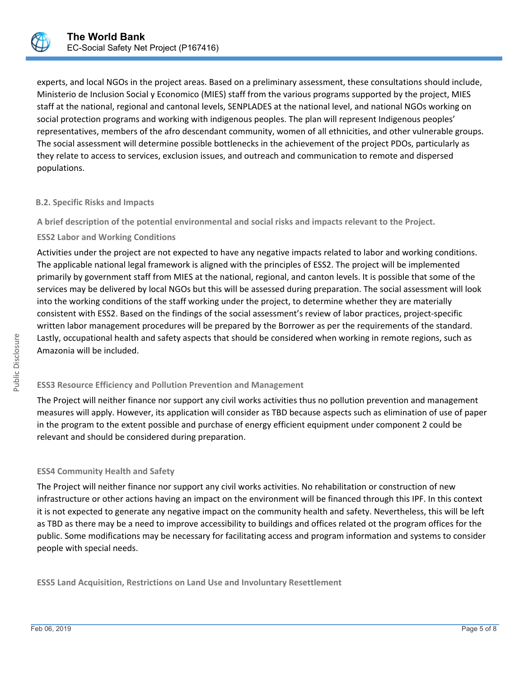

experts, and local NGOs in the project areas. Based on a preliminary assessment, these consultations should include, Ministerio de Inclusion Social y Economico (MIES) staff from the various programs supported by the project, MIES staff at the national, regional and cantonal levels, SENPLADES at the national level, and national NGOs working on social protection programs and working with indigenous peoples. The plan will represent Indigenous peoples' representatives, members of the afro descendant community, women of all ethnicities, and other vulnerable groups. The social assessment will determine possible bottlenecks in the achievement of the project PDOs, particularly as they relate to access to services, exclusion issues, and outreach and communication to remote and dispersed populations.

#### **B.2. Specific Risks and Impacts**

**A brief description of the potential environmental and social risks and impacts relevant to the Project.**

#### **ESS2 Labor and Working Conditions**

Activities under the project are not expected to have any negative impacts related to labor and working conditions. The applicable national legal framework is aligned with the principles of ESS2. The project will be implemented primarily by government staff from MIES at the national, regional, and canton levels. It is possible that some of the services may be delivered by local NGOs but this will be assessed during preparation. The social assessment will look into the working conditions of the staff working under the project, to determine whether they are materially consistent with ESS2. Based on the findings of the social assessment's review of labor practices, project-specific written labor management procedures will be prepared by the Borrower as per the requirements of the standard. Lastly, occupational health and safety aspects that should be considered when working in remote regions, such as Amazonia will be included.

#### **ESS3 Resource Efficiency and Pollution Prevention and Management**

The Project will neither finance nor support any civil works activities thus no pollution prevention and management measures will apply. However, its application will consider as TBD because aspects such as elimination of use of paper in the program to the extent possible and purchase of energy efficient equipment under component 2 could be relevant and should be considered during preparation.

#### **ESS4 Community Health and Safety**

The Project will neither finance nor support any civil works activities. No rehabilitation or construction of new infrastructure or other actions having an impact on the environment will be financed through this IPF. In this context it is not expected to generate any negative impact on the community health and safety. Nevertheless, this will be left as TBD as there may be a need to improve accessibility to buildings and offices related ot the program offices for the public. Some modifications may be necessary for facilitating access and program information and systems to consider people with special needs.

**ESS5 Land Acquisition, Restrictions on Land Use and Involuntary Resettlement**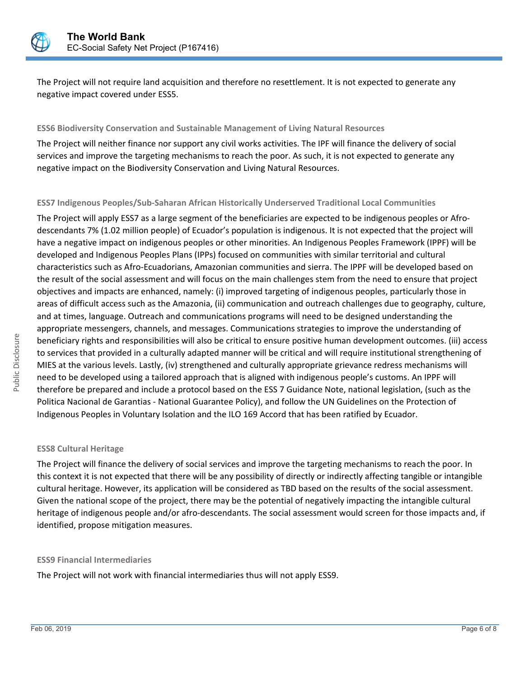

The Project will not require land acquisition and therefore no resettlement. It is not expected to generate any negative impact covered under ESS5.

#### **ESS6 Biodiversity Conservation and Sustainable Management of Living Natural Resources**

The Project will neither finance nor support any civil works activities. The IPF will finance the delivery of social services and improve the targeting mechanisms to reach the poor. As such, it is not expected to generate any negative impact on the Biodiversity Conservation and Living Natural Resources.

#### **ESS7 Indigenous Peoples/Sub-Saharan African Historically Underserved Traditional Local Communities**

The Project will apply ESS7 as a large segment of the beneficiaries are expected to be indigenous peoples or Afrodescendants 7% (1.02 million people) of Ecuador's population is indigenous. It is not expected that the project will have a negative impact on indigenous peoples or other minorities. An Indigenous Peoples Framework (IPPF) will be developed and Indigenous Peoples Plans (IPPs) focused on communities with similar territorial and cultural characteristics such as Afro-Ecuadorians, Amazonian communities and sierra. The IPPF will be developed based on the result of the social assessment and will focus on the main challenges stem from the need to ensure that project objectives and impacts are enhanced, namely: (i) improved targeting of indigenous peoples, particularly those in areas of difficult access such as the Amazonia, (ii) communication and outreach challenges due to geography, culture, and at times, language. Outreach and communications programs will need to be designed understanding the appropriate messengers, channels, and messages. Communications strategies to improve the understanding of beneficiary rights and responsibilities will also be critical to ensure positive human development outcomes. (iii) access to services that provided in a culturally adapted manner will be critical and will require institutional strengthening of MIES at the various levels. Lastly, (iv) strengthened and culturally appropriate grievance redress mechanisms will need to be developed using a tailored approach that is aligned with indigenous people's customs. An IPPF will therefore be prepared and include a protocol based on the ESS 7 Guidance Note, national legislation, (such as the Politica Nacional de Garantias - National Guarantee Policy), and follow the UN Guidelines on the Protection of Indigenous Peoples in Voluntary Isolation and the ILO 169 Accord that has been ratified by Ecuador.

#### **ESS8 Cultural Heritage**

The Project will finance the delivery of social services and improve the targeting mechanisms to reach the poor. In this context it is not expected that there will be any possibility of directly or indirectly affecting tangible or intangible cultural heritage. However, its application will be considered as TBD based on the results of the social assessment. Given the national scope of the project, there may be the potential of negatively impacting the intangible cultural heritage of indigenous people and/or afro-descendants. The social assessment would screen for those impacts and, if identified, propose mitigation measures.

#### **ESS9 Financial Intermediaries**

The Project will not work with financial intermediaries thus will not apply ESS9.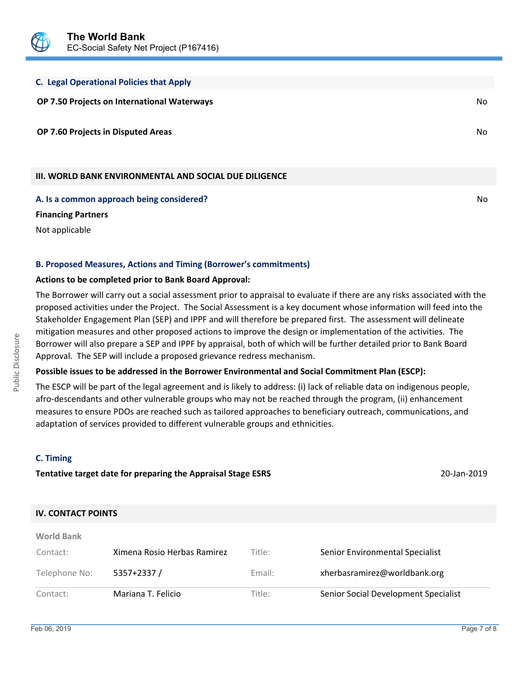

# **C. Legal Operational Policies that Apply**

**OP 7.50 Projects on International Waterways** No

**OP 7.60 Projects in Disputed Areas** No

## **III. WORLD BANK ENVIRONMENTAL AND SOCIAL DUE DILIGENCE**

**A. Is a common approach being considered?** No **No. 1999. In the set of the set of the set of the set of the set of the set of the set of the set of the set of the set of the set of the set of the set of the set of the set** 

**Financing Partners**

Not applicable

### **B. Proposed Measures, Actions and Timing (Borrower's commitments)**

#### **Actions to be completed prior to Bank Board Approval:**

The Borrower will carry out a social assessment prior to appraisal to evaluate if there are any risks associated with the proposed activities under the Project. The Social Assessment is a key document whose information will feed into the Stakeholder Engagement Plan (SEP) and IPPF and will therefore be prepared first. The assessment will delineate mitigation measures and other proposed actions to improve the design or implementation of the activities. The Borrower will also prepare a SEP and IPPF by appraisal, both of which will be further detailed prior to Bank Board Approval. The SEP will include a proposed grievance redress mechanism.

### **Possible issues to be addressed in the Borrower Environmental and Social Commitment Plan (ESCP):**

The ESCP will be part of the legal agreement and is likely to address: (i) lack of reliable data on indigenous people, afro-descendants and other vulnerable groups who may not be reached through the program, (ii) enhancement measures to ensure PDOs are reached such as tailored approaches to beneficiary outreach, communications, and adaptation of services provided to different vulnerable groups and ethnicities.

### **C. Timing**

**World Bank**

Public Disclosure

Public Disclosure

# **Tentative target date for preparing the Appraisal Stage ESRS** 20-Jan-2019

### **IV. CONTACT POINTS**

| Contact:      | Mariana T. Felicio          | Title: | Senior Social Development Specialist |
|---------------|-----------------------------|--------|--------------------------------------|
| Telephone No: | $5357+2337/$                | Email: | xherbasramirez@worldbank.org         |
| Contact:      | Ximena Rosio Herbas Ramirez | Title: | Senior Environmental Specialist      |
| $\sim$        |                             |        |                                      |